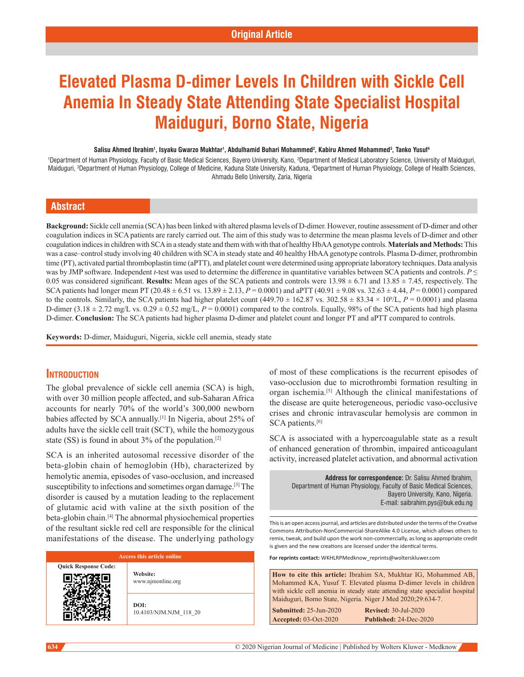# **Elevated Plasma D-dimer Levels In Children with Sickle Cell Anemia In Steady State Attending State Specialist Hospital Maiduguri, Borno State, Nigeria**

#### **Salisu Ahmed Ibrahim1 , Isyaku Gwarzo Mukhtar1 , Abdulhamid Buhari Mohammed2 , Kabiru Ahmed Mohammed3 , Tanko Yusuf4**

1 Department of Human Physiology, Faculty of Basic Medical Sciences, Bayero University, Kano, 2 Department of Medical Laboratory Science, University of Maiduguri, Maiduguri, <sup>3</sup>Department of Human Physiology, College of Medicine, Kaduna State University, Kaduna, <sup>4</sup>Department of Human Physiology, College of Health Sciences, Ahmadu Bello University, Zaria, Nigeria

# **Abstract**

**Background:** Sickle cell anemia (SCA) has been linked with altered plasma levels of D‑dimer. However, routine assessment of D‑dimer and other coagulation indices in SCA patients are rarely carried out. The aim of this study was to determine the mean plasma levels of D-dimer and other coagulation indices in children with SCA in a steady state and them with with that of healthy HbAA genotype controls. **Materials and Methods:** This was a case–control study involving 40 children with SCA in steady state and 40 healthy HbAA genotype controls. Plasma D-dimer, prothrombin time (PT), activated partial thromboplastin time (aPTT), and platelet count were determined using appropriate laboratory techniques. Data analysis was by JMP software. Independent *t*-test was used to determine the difference in quantitative variables between SCA patients and controls. *P* ≤ 0.05 was considered significant. **Results:** Mean ages of the SCA patients and controls were 13.98 ± 6.71 and 13.85 ± 7.45, respectively. The SCA patients had longer mean PT (20.48  $\pm$  6.51 vs. 13.89  $\pm$  2.13,  $P = 0.0001$ ) and aPTT (40.91  $\pm$  9.08 vs. 32.63  $\pm$  4.44,  $P = 0.0001$ ) compared to the controls. Similarly, the SCA patients had higher platelet count  $(449.70 \pm 162.87 \text{ vs. } 302.58 \pm 83.34 \times 10^9/L, P = 0.0001)$  and plasma D-dimer  $(3.18 \pm 2.72 \text{ mg/L vs. } 0.29 \pm 0.52 \text{ mg/L}, P = 0.0001)$  compared to the controls. Equally, 98% of the SCA patients had high plasma D‑dimer. **Conclusion:** The SCA patients had higher plasma D‑dimer and platelet count and longer PT and aPTT compared to controls.

**Keywords:** D‑dimer, Maiduguri, Nigeria, sickle cell anemia, steady state

# **Introduction**

The global prevalence of sickle cell anemia (SCA) is high, with over 30 million people affected, and sub-Saharan Africa accounts for nearly 70% of the world's 300,000 newborn babies affected by SCA annually.[1] In Nigeria, about 25% of adults have the sickle cell trait (SCT), while the homozygous state (SS) is found in about  $3\%$  of the population.<sup>[2]</sup>

SCA is an inherited autosomal recessive disorder of the beta‑globin chain of hemoglobin (Hb), characterized by hemolytic anemia, episodes of vaso-occlusion, and increased susceptibility to infections and sometimes organ damage.[3] The disorder is caused by a mutation leading to the replacement of glutamic acid with valine at the sixth position of the beta-globin chain.<sup>[4]</sup> The abnormal physiochemical properties of the resultant sickle red cell are responsible for the clinical manifestations of the disease. The underlying pathology

| Access this article online  |                                |  |  |
|-----------------------------|--------------------------------|--|--|
| <b>Quick Response Code:</b> | Website:<br>www.njmonline.org  |  |  |
|                             | DOI:<br>10.4103/NJM.NJM 118 20 |  |  |

of most of these complications is the recurrent episodes of vaso-occlusion due to microthrombi formation resulting in organ ischemia.[5] Although the clinical manifestations of the disease are quite heterogeneous, periodic vaso‑occlusive crises and chronic intravascular hemolysis are common in SCA patients.<sup>[6]</sup>

SCA is associated with a hypercoagulable state as a result of enhanced generation of thrombin, impaired anticoagulant activity, increased platelet activation, and abnormal activation

| <b>Address for correspondence:</b> Dr. Salisu Ahmed Ibrahim.       |  |  |  |
|--------------------------------------------------------------------|--|--|--|
| Department of Human Physiology, Faculty of Basic Medical Sciences. |  |  |  |
| Bavero University, Kano, Nigeria.                                  |  |  |  |
| E-mail: saibrahim.pys@buk.edu.ng                                   |  |  |  |

This is an open access journal, and articles are distributed under the terms of the Creative Commons Attribution‑NonCommercial‑ShareAlike 4.0 License, which allows others to remix, tweak, and build upon the work non‑commercially, as long as appropriate credit is given and the new creations are licensed under the identical terms.

**For reprints contact:** WKHLRPMedknow\_reprints@wolterskluwer.com

**Submitted:** 25-Jun-2020 **Revised:** 30-Jul-2020 **Accepted:** 03-Oct-2020 **Published:** 24-Dec-2020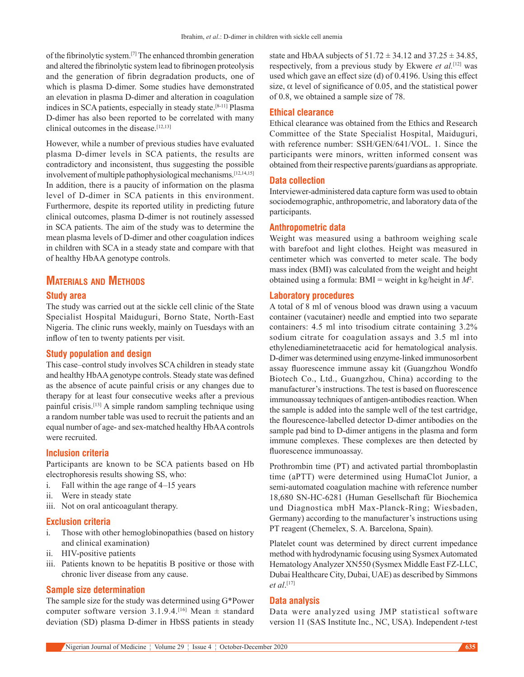of the fibrinolytic system.[7] The enhanced thrombin generation and altered the fibrinolytic system lead to fibrinogen proteolysis and the generation of fibrin degradation products, one of which is plasma D-dimer. Some studies have demonstrated an elevation in plasma D‑dimer and alteration in coagulation indices in SCA patients, especially in steady state.[8-11] Plasma D‑dimer has also been reported to be correlated with many clinical outcomes in the disease.<sup>[12,13]</sup>

However, while a number of previous studies have evaluated plasma D‑dimer levels in SCA patients, the results are contradictory and inconsistent, thus suggesting the possible involvement of multiple pathophysiological mechanisms.<sup>[12,14,15]</sup> In addition, there is a paucity of information on the plasma level of D-dimer in SCA patients in this environment. Furthermore, despite its reported utility in predicting future clinical outcomes, plasma D‑dimer is not routinely assessed in SCA patients. The aim of the study was to determine the mean plasma levels of D‑dimer and other coagulation indices in children with SCA in a steady state and compare with that of healthy HbAA genotype controls.

# **Materials and Methods**

#### **Study area**

The study was carried out at the sickle cell clinic of the State Specialist Hospital Maiduguri, Borno State, North-East Nigeria. The clinic runs weekly, mainly on Tuesdays with an inflow of ten to twenty patients per visit.

#### **Study population and design**

This case–control study involves SCA children in steady state and healthy HbAA genotype controls. Steady state was defined as the absence of acute painful crisis or any changes due to therapy for at least four consecutive weeks after a previous painful crisis.[13] A simple random sampling technique using a random number table was used to recruit the patients and an equal number of age‑ and sex‑matched healthy HbAA controls were recruited.

#### **Inclusion criteria**

Participants are known to be SCA patients based on Hb electrophoresis results showing SS, who:

- i. Fall within the age range of 4–15 years
- ii. Were in steady state
- iii. Not on oral anticoagulant therapy.

#### **Exclusion criteria**

- i. Those with other hemoglobinopathies (based on history and clinical examination)
- ii. HIV‑positive patients
- iii. Patients known to be hepatitis B positive or those with chronic liver disease from any cause.

#### **Sample size determination**

The sample size for the study was determined using G\*Power computer software version 3.1.9.4.<sup>[16]</sup> Mean  $\pm$  standard deviation (SD) plasma D-dimer in HbSS patients in steady state and HbAA subjects of  $51.72 \pm 34.12$  and  $37.25 \pm 34.85$ , respectively, from a previous study by Ekwere *et al.*[12] was used which gave an effect size (d) of 0.4196. Using this effect size,  $\alpha$  level of significance of 0.05, and the statistical power of 0.8, we obtained a sample size of 78.

## **Ethical clearance**

Ethical clearance was obtained from the Ethics and Research Committee of the State Specialist Hospital, Maiduguri, with reference number: SSH/GEN/641/VOL. 1. Since the participants were minors, written informed consent was obtained from their respective parents/guardians as appropriate.

#### **Data collection**

Interviewer‑administered data capture form was used to obtain sociodemographic, anthropometric, and laboratory data of the participants.

#### **Anthropometric data**

Weight was measured using a bathroom weighing scale with barefoot and light clothes. Height was measured in centimeter which was converted to meter scale. The body mass index (BMI) was calculated from the weight and height obtained using a formula: BMI = weight in kg/height in *M*<sup>2</sup> .

#### **Laboratory procedures**

A total of 8 ml of venous blood was drawn using a vacuum container (vacutainer) needle and emptied into two separate containers: 4.5 ml into trisodium citrate containing 3.2% sodium citrate for coagulation assays and 3.5 ml into ethylenediaminetetraacetic acid for hematological analysis. D-dimer was determined using enzyme-linked immunosorbent assay fluorescence immune assay kit (Guangzhou Wondfo Biotech Co., Ltd., Guangzhou, China) according to the manufacturer's instructions. The test is based on fluorescence immunoassay techniques of antigen-antibodies reaction. When the sample is added into the sample well of the test cartridge, the flourescence-labelled detector D-dimer antibodies on the sample pad bind to D-dimer antigens in the plasma and form immune complexes. These complexes are then detected by fluorescence immunoassay.

Prothrombin time (PT) and activated partial thromboplastin time (aPTT) were determined using HumaClot Junior, a semi-automated coagulation machine with reference number 18,680 SN‑HC‑6281 (Human Gesellschaft für Biochemica und Diagnostica mbH Max‑Planck‑Ring; Wiesbaden, Germany) according to the manufacturer's instructions using PT reagent (Chemelex, S. A. Barcelona, Spain).

Platelet count was determined by direct current impedance method with hydrodynamic focusing using Sysmex Automated Hematology Analyzer XN550 (Sysmex Middle East FZ‑LLC, Dubai Healthcare City, Dubai, UAE) as described by Simmons *et al*. [17]

#### **Data analysis**

Data were analyzed using JMP statistical software version 11 (SAS Institute Inc., NC, USA). Independent *t*-test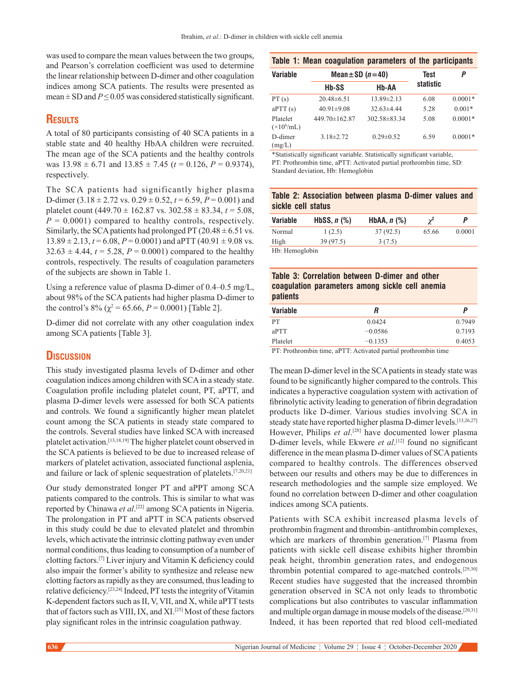was used to compare the mean values between the two groups, and Pearson's correlation coefficient was used to determine the linear relationship between D‑dimer and other coagulation indices among SCA patients. The results were presented as mean  $\pm$  SD and *P*  $\leq$  0.05 was considered statistically significant.

# **Results**

A total of 80 participants consisting of 40 SCA patients in a stable state and 40 healthy HbAA children were recruited. The mean age of the SCA patients and the healthy controls was  $13.98 \pm 6.71$  and  $13.85 \pm 7.45$  ( $t = 0.126$ ,  $P = 0.9374$ ), respectively.

The SCA patients had significantly higher plasma D-dimer  $(3.18 \pm 2.72 \text{ vs. } 0.29 \pm 0.52, t = 6.59, P = 0.001)$  and platelet count (449.70 ± 162.87 vs. 302.58 ± 83.34, *t* = 5.08,  $P = 0.0001$ ) compared to healthy controls, respectively. Similarly, the SCA patients had prolonged PT ( $20.48 \pm 6.51$  vs.  $13.89 \pm 2.13$ ,  $t = 6.08$ ,  $P = 0.0001$ ) and aPTT (40.91  $\pm$  9.08 vs.  $32.63 \pm 4.44$ ,  $t = 5.28$ ,  $P = 0.0001$ ) compared to the healthy controls, respectively. The results of coagulation parameters of the subjects are shown in Table 1.

Using a reference value of plasma D-dimer of  $0.4-0.5$  mg/L, about 98% of the SCA patients had higher plasma D‑dimer to the control's 8% ( $\chi^2$  = 65.66, *P* = 0.0001) [Table 2].

D‑dimer did not correlate with any other coagulation index among SCA patients [Table 3].

# **Discussion**

This study investigated plasma levels of D-dimer and other coagulation indices among children with SCA in a steady state. Coagulation profile including platelet count, PT, aPTT, and plasma D‑dimer levels were assessed for both SCA patients and controls. We found a significantly higher mean platelet count among the SCA patients in steady state compared to the controls. Several studies have linked SCA with increased platelet activation.[13,18,19] The higher platelet count observed in the SCA patients is believed to be due to increased release of markers of platelet activation, associated functional asplenia, and failure or lack of splenic sequestration of platelets.[7,20,21]

Our study demonstrated longer PT and aPPT among SCA patients compared to the controls. This is similar to what was reported by Chinawa *et al*. [22] among SCA patients in Nigeria. The prolongation in PT and aPTT in SCA patients observed in this study could be due to elevated platelet and thrombin levels, which activate the intrinsic clotting pathway even under normal conditions, thus leading to consumption of a number of clotting factors.[7] Liver injury and Vitamin K deficiency could also impair the former's ability to synthesize and release new clotting factors as rapidly as they are consumed, thus leading to relative deficiency.[23,24] Indeed, PT tests the integrity of Vitamin K‑dependent factors such as II, V, VII, and X, while aPTT tests that of factors such as VIII, IX, and  $XI$ <sup>[25]</sup> Most of these factors play significant roles in the intrinsic coagulation pathway.

| Table 1: Mean coagulation parameters of the participants |  |  |  |
|----------------------------------------------------------|--|--|--|
|----------------------------------------------------------|--|--|--|

| Variable                              | Mean $\pm$ SD ( <i>n</i> = 40) | <b>Test</b>        | Ρ         |           |
|---------------------------------------|--------------------------------|--------------------|-----------|-----------|
|                                       | Hb-SS                          | Hb-AA              | statistic |           |
| PT(s)                                 | $20.48 \pm 6.51$               | $13.89 \pm 2.13$   | 6.08      | $0.0001*$ |
| aPTT(s)                               | $40.91 \pm 9.08$               | $32.63\pm4.44$     | 5.28      | $0.001*$  |
| Platelet<br>$(\times 10^9/\text{mL})$ | 449.70±162.87                  | $302.58 \pm 83.34$ | 5.08      | $0.0001*$ |
| D-dimer<br>(mg/L)                     | $3.18\pm2.72$                  | $0.29 \pm 0.52$    | 6.59      | $0.0001*$ |

\*Statistically significant variable. Statistically significant variable, PT: Prothrombin time, aPTT: Activated partial prothrombin time, SD: Standard deviation, Hb: Hemoglobin

|  | Table 2: Association between plasma D-dimer values and |  |  |  |
|--|--------------------------------------------------------|--|--|--|
|  | sickle cell status                                     |  |  |  |

| <b>Variable</b> | HbSS, $n$ $\left(\% \right)$ | HbAA, $n$ $\left(\% \right)$ | $\gamma^2$ | P      |
|-----------------|------------------------------|------------------------------|------------|--------|
| Normal          | 1(2.5)                       | 37 (92.5)                    | 65.66      | 0.0001 |
| High            | 39 (97.5)                    | 3(7.5)                       |            |        |
| Hh: Hemoolohin  |                              |                              |            |        |

mogi

| Table 3: Correlation between D-dimer and other              |  |
|-------------------------------------------------------------|--|
| coagulation parameters among sickle cell anemia<br>patients |  |
|                                                             |  |

| <b>Variable</b> | R         | P      |
|-----------------|-----------|--------|
| <b>PT</b>       | 0.0424    | 0.7949 |
| aPTT            | $-0.0586$ | 0.7193 |
| Platelet        | $-0.1353$ | 0.4053 |
| $\mathbf{r}$    |           |        |

PT: Prothrombin time, aPTT: Activated partial prothrombin time

The mean D-dimer level in the SCA patients in steady state was found to be significantly higher compared to the controls. This indicates a hyperactive coagulation system with activation of fibrinolytic activity leading to generation of fibrin degradation products like D‑dimer. Various studies involving SCA in steady state have reported higher plasma D-dimer levels.<sup>[13,26,27]</sup> However, Philips *et al*. [28] have documented lower plasma D‑dimer levels, while Ekwere *et al*. [12] found no significant difference in the mean plasma D-dimer values of SCA patients compared to healthy controls. The differences observed between our results and others may be due to differences in research methodologies and the sample size employed. We found no correlation between D-dimer and other coagulation indices among SCA patients.

Patients with SCA exhibit increased plasma levels of prothrombin fragment and thrombin–antithrombin complexes, which are markers of thrombin generation.<sup>[7]</sup> Plasma from patients with sickle cell disease exhibits higher thrombin peak height, thrombin generation rates, and endogenous thrombin potential compared to age-matched controls.<sup>[29,30]</sup> Recent studies have suggested that the increased thrombin generation observed in SCA not only leads to thrombotic complications but also contributes to vascular inflammation and multiple organ damage in mouse models of the disease.<sup>[20,31]</sup> Indeed, it has been reported that red blood cell-mediated